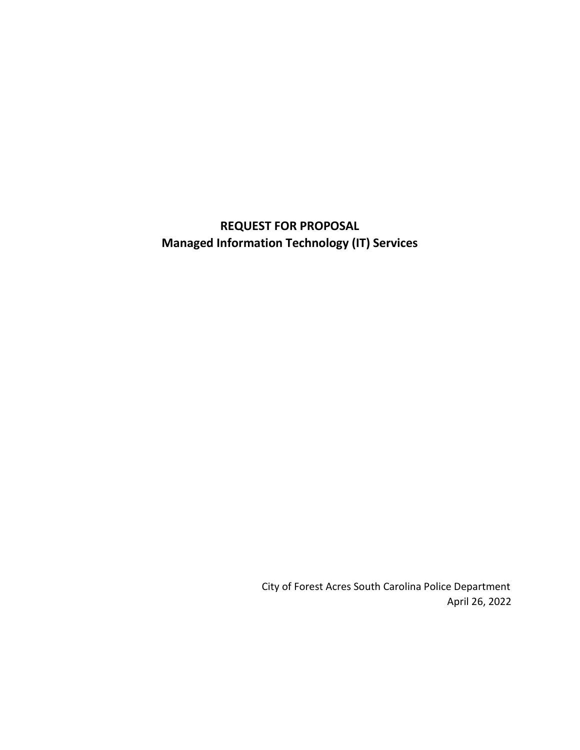# **REQUEST FOR PROPOSAL Managed Information Technology (IT) Services**

 City of Forest Acres South Carolina Police Department April 26, 2022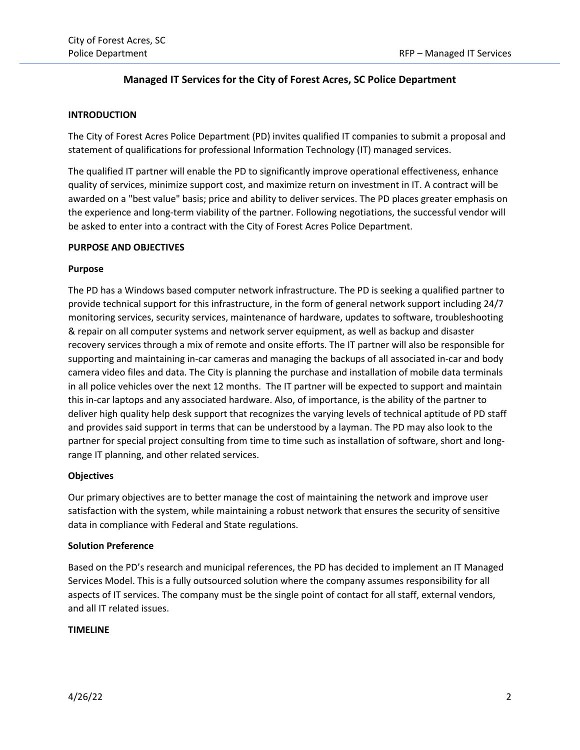# **Managed IT Services for the City of Forest Acres, SC Police Department**

## **INTRODUCTION**

The City of Forest Acres Police Department (PD) invites qualified IT companies to submit a proposal and statement of qualifications for professional Information Technology (IT) managed services.

The qualified IT partner will enable the PD to significantly improve operational effectiveness, enhance quality of services, minimize support cost, and maximize return on investment in IT. A contract will be awarded on a "best value" basis; price and ability to deliver services. The PD places greater emphasis on the experience and long-term viability of the partner. Following negotiations, the successful vendor will be asked to enter into a contract with the City of Forest Acres Police Department.

#### **PURPOSE AND OBJECTIVES**

# **Purpose**

The PD has a Windows based computer network infrastructure. The PD is seeking a qualified partner to provide technical support for this infrastructure, in the form of general network support including 24/7 monitoring services, security services, maintenance of hardware, updates to software, troubleshooting & repair on all computer systems and network server equipment, as well as backup and disaster recovery services through a mix of remote and onsite efforts. The IT partner will also be responsible for supporting and maintaining in-car cameras and managing the backups of all associated in-car and body camera video files and data. The City is planning the purchase and installation of mobile data terminals in all police vehicles over the next 12 months. The IT partner will be expected to support and maintain this in-car laptops and any associated hardware. Also, of importance, is the ability of the partner to deliver high quality help desk support that recognizes the varying levels of technical aptitude of PD staff and provides said support in terms that can be understood by a layman. The PD may also look to the partner for special project consulting from time to time such as installation of software, short and longrange IT planning, and other related services.

# **Objectives**

Our primary objectives are to better manage the cost of maintaining the network and improve user satisfaction with the system, while maintaining a robust network that ensures the security of sensitive data in compliance with Federal and State regulations.

# **Solution Preference**

Based on the PD's research and municipal references, the PD has decided to implement an IT Managed Services Model. This is a fully outsourced solution where the company assumes responsibility for all aspects of IT services. The company must be the single point of contact for all staff, external vendors, and all IT related issues.

# **TIMELINE**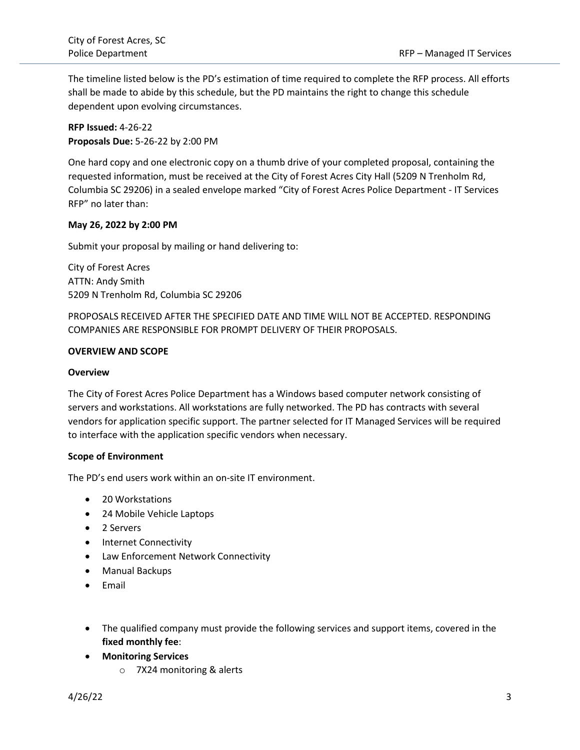The timeline listed below is the PD's estimation of time required to complete the RFP process. All efforts shall be made to abide by this schedule, but the PD maintains the right to change this schedule dependent upon evolving circumstances.

**RFP Issued:** 4-26-22 **Proposals Due:** 5-26-22 by 2:00 PM

One hard copy and one electronic copy on a thumb drive of your completed proposal, containing the requested information, must be received at the City of Forest Acres City Hall (5209 N Trenholm Rd, Columbia SC 29206) in a sealed envelope marked "City of Forest Acres Police Department - IT Services RFP" no later than:

# **May 26, 2022 by 2:00 PM**

Submit your proposal by mailing or hand delivering to:

City of Forest Acres ATTN: Andy Smith 5209 N Trenholm Rd, Columbia SC 29206

PROPOSALS RECEIVED AFTER THE SPECIFIED DATE AND TIME WILL NOT BE ACCEPTED. RESPONDING COMPANIES ARE RESPONSIBLE FOR PROMPT DELIVERY OF THEIR PROPOSALS.

## **OVERVIEW AND SCOPE**

#### **Overview**

The City of Forest Acres Police Department has a Windows based computer network consisting of servers and workstations. All workstations are fully networked. The PD has contracts with several vendors for application specific support. The partner selected for IT Managed Services will be required to interface with the application specific vendors when necessary.

#### **Scope of Environment**

The PD's end users work within an on-site IT environment.

- 20 Workstations
- 24 Mobile Vehicle Laptops
- 2 Servers
- Internet Connectivity
- Law Enforcement Network Connectivity
- Manual Backups
- Email
- The qualified company must provide the following services and support items, covered in the **fixed monthly fee**:
- **Monitoring Services**
	- o 7X24 monitoring & alerts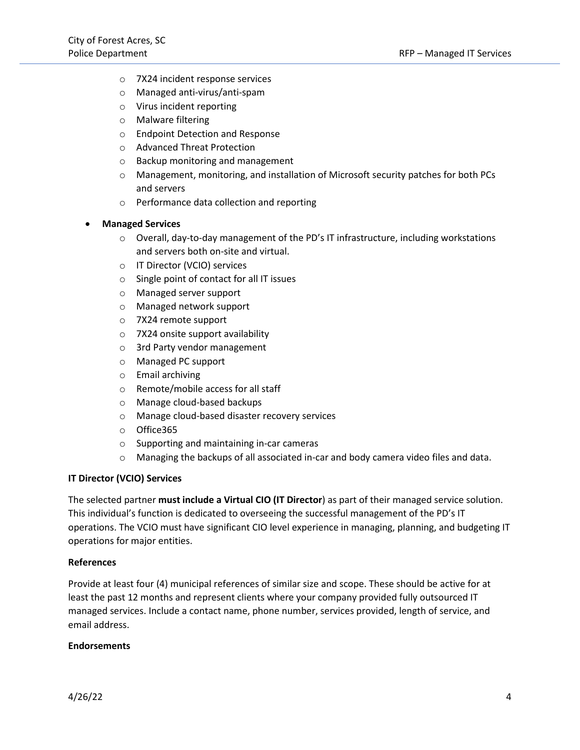- o 7X24 incident response services
- o Managed anti-virus/anti-spam
- o Virus incident reporting
- o Malware filtering
- o Endpoint Detection and Response
- o Advanced Threat Protection
- o Backup monitoring and management
- o Management, monitoring, and installation of Microsoft security patches for both PCs and servers
- o Performance data collection and reporting

#### • **Managed Services**

- $\circ$  Overall, day-to-day management of the PD's IT infrastructure, including workstations and servers both on-site and virtual.
- o IT Director (VCIO) services
- o Single point of contact for all IT issues
- o Managed server support
- o Managed network support
- o 7X24 remote support
- o 7X24 onsite support availability
- o 3rd Party vendor management
- o Managed PC support
- o Email archiving
- o Remote/mobile access for all staff
- o Manage cloud-based backups
- o Manage cloud-based disaster recovery services
- o Office365
- o Supporting and maintaining in-car cameras
- o Managing the backups of all associated in-car and body camera video files and data.

#### **IT Director (VCIO) Services**

The selected partner **must include a Virtual CIO (IT Director**) as part of their managed service solution. This individual's function is dedicated to overseeing the successful management of the PD's IT operations. The VCIO must have significant CIO level experience in managing, planning, and budgeting IT operations for major entities.

#### **References**

Provide at least four (4) municipal references of similar size and scope. These should be active for at least the past 12 months and represent clients where your company provided fully outsourced IT managed services. Include a contact name, phone number, services provided, length of service, and email address.

#### **Endorsements**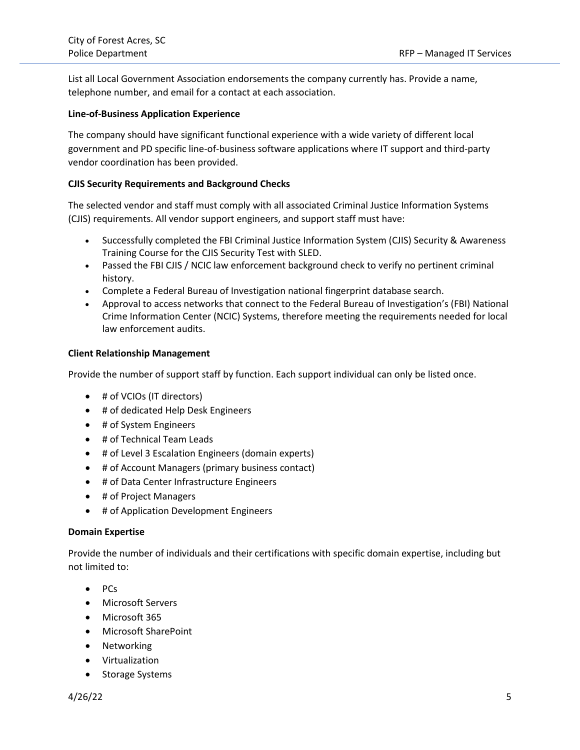List all Local Government Association endorsements the company currently has. Provide a name, telephone number, and email for a contact at each association.

#### **Line-of-Business Application Experience**

The company should have significant functional experience with a wide variety of different local government and PD specific line-of-business software applications where IT support and third-party vendor coordination has been provided.

# **CJIS Security Requirements and Background Checks**

The selected vendor and staff must comply with all associated Criminal Justice Information Systems (CJIS) requirements. All vendor support engineers, and support staff must have: 

- Successfully completed the FBI Criminal Justice Information System (CJIS) Security & Awareness Training Course for the CJIS Security Test with SLED.
- Passed the FBI CJIS / NCIC law enforcement background check to verify no pertinent criminal history.
- Complete a Federal Bureau of Investigation national fingerprint database search.
- Approval to access networks that connect to the Federal Bureau of Investigation's (FBI) National Crime Information Center (NCIC) Systems, therefore meeting the requirements needed for local law enforcement audits.

#### **Client Relationship Management**

Provide the number of support staff by function. Each support individual can only be listed once.

- # of VCIOs (IT directors)
- # of dedicated Help Desk Engineers
- # of System Engineers
- # of Technical Team Leads
- # of Level 3 Escalation Engineers (domain experts)
- # of Account Managers (primary business contact)
- # of Data Center Infrastructure Engineers
- # of Project Managers
- # of Application Development Engineers

#### **Domain Expertise**

Provide the number of individuals and their certifications with specific domain expertise, including but not limited to:

- PCs
- Microsoft Servers
- Microsoft 365
- Microsoft SharePoint
- Networking
- Virtualization
- Storage Systems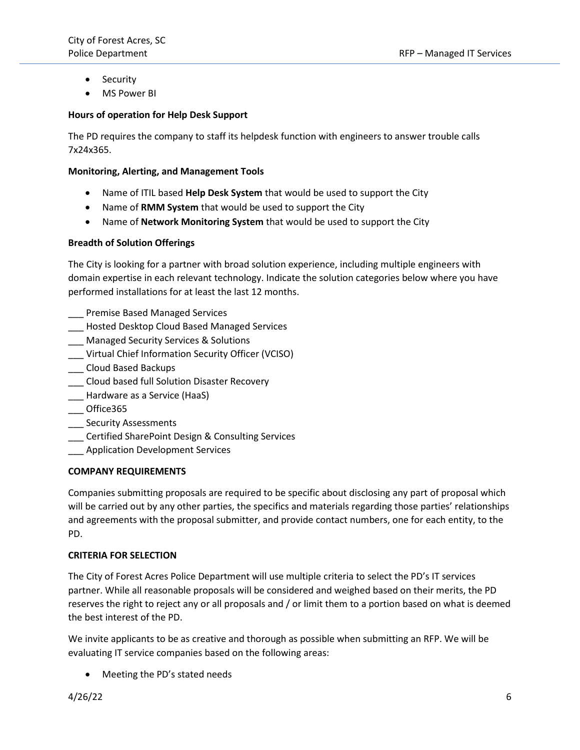- Security
- MS Power BI

# **Hours of operation for Help Desk Support**

The PD requires the company to staff its helpdesk function with engineers to answer trouble calls 7x24x365.

## **Monitoring, Alerting, and Management Tools**

- Name of ITIL based **Help Desk System** that would be used to support the City
- Name of **RMM System** that would be used to support the City
- Name of **Network Monitoring System** that would be used to support the City

# **Breadth of Solution Offerings**

The City is looking for a partner with broad solution experience, including multiple engineers with domain expertise in each relevant technology. Indicate the solution categories below where you have performed installations for at least the last 12 months.

- Premise Based Managed Services
- \_\_\_ Hosted Desktop Cloud Based Managed Services
- \_\_\_ Managed Security Services & Solutions
- \_\_\_ Virtual Chief Information Security Officer (VCISO)
- \_\_\_ Cloud Based Backups
- \_\_\_ Cloud based full Solution Disaster Recovery
- \_\_\_ Hardware as a Service (HaaS)
- \_\_\_ Office365
- \_\_\_ Security Assessments
- \_\_\_ Certified SharePoint Design & Consulting Services
- **\_\_\_** Application Development Services

#### **COMPANY REQUIREMENTS**

Companies submitting proposals are required to be specific about disclosing any part of proposal which will be carried out by any other parties, the specifics and materials regarding those parties' relationships and agreements with the proposal submitter, and provide contact numbers, one for each entity, to the PD.

#### **CRITERIA FOR SELECTION**

The City of Forest Acres Police Department will use multiple criteria to select the PD's IT services partner. While all reasonable proposals will be considered and weighed based on their merits, the PD reserves the right to reject any or all proposals and / or limit them to a portion based on what is deemed the best interest of the PD.

We invite applicants to be as creative and thorough as possible when submitting an RFP. We will be evaluating IT service companies based on the following areas:

• Meeting the PD's stated needs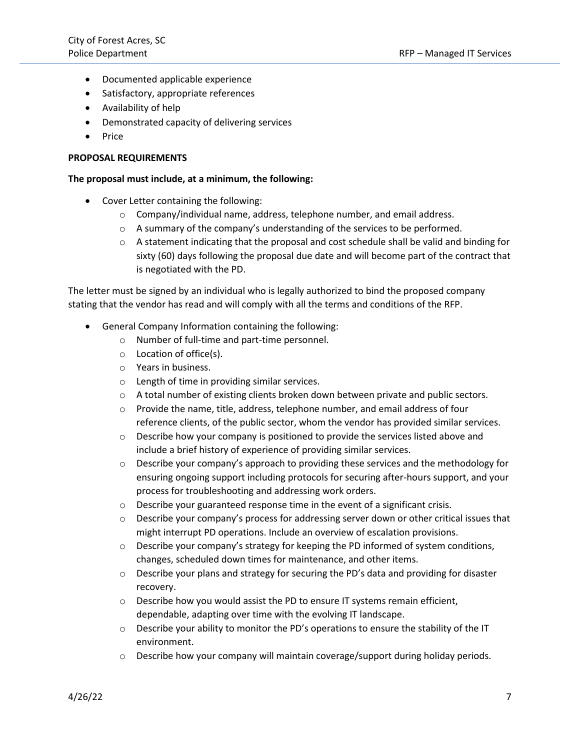- Documented applicable experience
- Satisfactory, appropriate references
- Availability of help
- Demonstrated capacity of delivering services
- Price

# **PROPOSAL REQUIREMENTS**

# **The proposal must include, at a minimum, the following:**

- Cover Letter containing the following:
	- $\circ$  Company/individual name, address, telephone number, and email address.
	- o A summary of the company's understanding of the services to be performed.
	- $\circ$  A statement indicating that the proposal and cost schedule shall be valid and binding for sixty (60) days following the proposal due date and will become part of the contract that is negotiated with the PD.

The letter must be signed by an individual who is legally authorized to bind the proposed company stating that the vendor has read and will comply with all the terms and conditions of the RFP.

- General Company Information containing the following:
	- o Number of full-time and part-time personnel.
	- o Location of office(s).
	- o Years in business.
	- o Length of time in providing similar services.
	- $\circ$  A total number of existing clients broken down between private and public sectors.
	- o Provide the name, title, address, telephone number, and email address of four reference clients, of the public sector, whom the vendor has provided similar services.
	- $\circ$  Describe how your company is positioned to provide the services listed above and include a brief history of experience of providing similar services.
	- o Describe your company's approach to providing these services and the methodology for ensuring ongoing support including protocols for securing after-hours support, and your process for troubleshooting and addressing work orders.
	- o Describe your guaranteed response time in the event of a significant crisis.
	- o Describe your company's process for addressing server down or other critical issues that might interrupt PD operations. Include an overview of escalation provisions.
	- $\circ$  Describe your company's strategy for keeping the PD informed of system conditions, changes, scheduled down times for maintenance, and other items.
	- o Describe your plans and strategy for securing the PD's data and providing for disaster recovery.
	- $\circ$  Describe how you would assist the PD to ensure IT systems remain efficient, dependable, adapting over time with the evolving IT landscape.
	- $\circ$  Describe your ability to monitor the PD's operations to ensure the stability of the IT environment.
	- $\circ$  Describe how your company will maintain coverage/support during holiday periods.